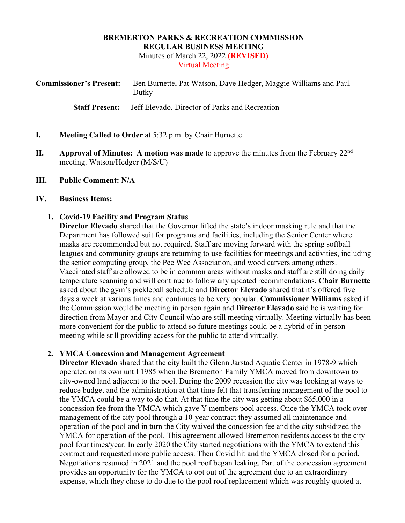#### **BREMERTON PARKS & RECREATION COMMISSION REGULAR BUSINESS MEETING**  Minutes of March 22, 2022 **(REVISED)**  Virtual Meeting

| <b>Commissioner's Present:</b> | Ben Burnette, Pat Watson, Dave Hedger, Maggie Williams and Paul<br>Dutky |
|--------------------------------|--------------------------------------------------------------------------|
| <b>Staff Present:</b>          | Jeff Elevado, Director of Parks and Recreation                           |

- **I. Meeting Called to Order** at 5:32 p.m. by Chair Burnette
- **II. Approval of Minutes: A motion was made** to approve the minutes from the February 22<sup>nd</sup> meeting. Watson/Hedger (M/S/U)
- **III. Public Comment: N/A**

#### **IV. Business Items:**

### **1. Covid-19 Facility and Program Status**

**Director Elevado** shared that the Governor lifted the state's indoor masking rule and that the Department has followed suit for programs and facilities, including the Senior Center where masks are recommended but not required. Staff are moving forward with the spring softball leagues and community groups are returning to use facilities for meetings and activities, including the senior computing group, the Pee Wee Association, and wood carvers among others. Vaccinated staff are allowed to be in common areas without masks and staff are still doing daily temperature scanning and will continue to follow any updated recommendations. **Chair Burnette**  asked about the gym's pickleball schedule and **Director Elevado** shared that it's offered five days a week at various times and continues to be very popular. **Commissioner Williams** asked if the Commission would be meeting in person again and **Director Elevado** said he is waiting for direction from Mayor and City Council who are still meeting virtually. Meeting virtually has been more convenient for the public to attend so future meetings could be a hybrid of in-person meeting while still providing access for the public to attend virtually.

### **2. YMCA Concession and Management Agreement**

**Director Elevado** shared that the city built the Glenn Jarstad Aquatic Center in 1978-9 which operated on its own until 1985 when the Bremerton Family YMCA moved from downtown to city-owned land adjacent to the pool. During the 2009 recession the city was looking at ways to reduce budget and the administration at that time felt that transferring management of the pool to the YMCA could be a way to do that. At that time the city was getting about \$65,000 in a concession fee from the YMCA which gave Y members pool access. Once the YMCA took over management of the city pool through a 10-year contract they assumed all maintenance and operation of the pool and in turn the City waived the concession fee and the city subsidized the YMCA for operation of the pool. This agreement allowed Bremerton residents access to the city pool four times/year. In early 2020 the City started negotiations with the YMCA to extend this contract and requested more public access. Then Covid hit and the YMCA closed for a period. Negotiations resumed in 2021 and the pool roof began leaking. Part of the concession agreement provides an opportunity for the YMCA to opt out of the agreement due to an extraordinary expense, which they chose to do due to the pool roof replacement which was roughly quoted at